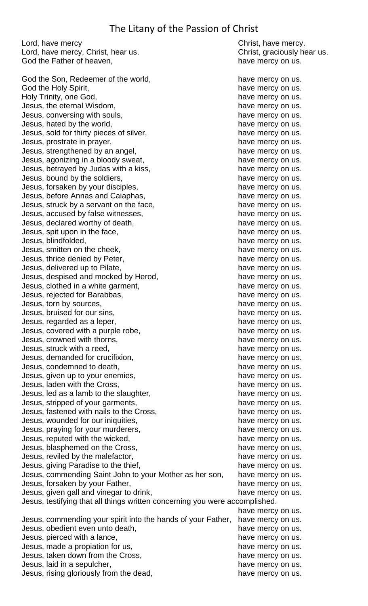## The Litany of the Passion of Christ

Lord, have mercy example and the control of the Christ, have mercy. Lord, have mercy, Christ, hear us. Christ, graciously hear us. God the Father of heaven, have mercy on us. God the Son, Redeemer of the world, have mercy on us. God the Holy Spirit, the mercy on us. Holy Trinity, one God, the metal of the mercy on us. Jesus, the eternal Wisdom, the state of the state mercy on us. Jesus, conversing with souls, the metal of the mercy on us. Jesus, hated by the world, the mercy on us. Jesus, sold for thirty pieces of silver, have mercy on us. Jesus, prostrate in prayer, the same mercy on us. Jesus, strengthened by an angel, have mercy on us. Jesus, agonizing in a bloody sweat, the mercy on us. Jesus, betrayed by Judas with a kiss, have mercy on us. Jesus, bound by the soldiers, the mercy on us. Jesus, forsaken by your disciples, have mercy on us. Jesus, before Annas and Caiaphas, entity and the mercy on us. Jesus, struck by a servant on the face, have mercy on us. Jesus, accused by false witnesses, the mercy on us. The mercy on us. Jesus, declared worthy of death, have mercy on us. Jesus, spit upon in the face, have mercy on us. Jesus, blindfolded, have mercy on us. Jesus, smitten on the cheek, the same mercy on us. Jesus, thrice denied by Peter, the mercy on us. Jesus, delivered up to Pilate, the metal of the mercy on us. Jesus, despised and mocked by Herod, have mercy on us. Jesus, clothed in a white garment, the same mercy on us. Jesus, rejected for Barabbas, the control of the have mercy on us. Jesus, torn by sources, the same mercy on us. Jesus, bruised for our sins, the same mercy on us. Jesus, regarded as a leper, the mercy on us. Jesus, covered with a purple robe, the natural example of the have mercy on us. Jesus, crowned with thorns, the contract of the mercy on us. Jesus, struck with a reed,  $\blacksquare$ Jesus, demanded for crucifixion, the mercy on us. Jesus, condemned to death, have mercy on us. Jesus, given up to your enemies, the same mercy on us. Jesus, laden with the Cross, the same mercy on us. Jesus, led as a lamb to the slaughter, the network of the state mercy on us. Jesus, stripped of your garments, the same mercy on us. Jesus, fastened with nails to the Cross, the mercy on us. Jesus, wounded for our iniquities, the mercy on us. Jesus, praying for your murderers, the same mercy on us. Jesus, reputed with the wicked,  $\blacksquare$  have mercy on us. Jesus, blasphemed on the Cross, the mercy on us. Jesus, reviled by the malefactor, the mercy on us. Jesus, giving Paradise to the thief, have mercy on us. Jesus, commending Saint John to your Mother as her son, have mercy on us. Jesus, forsaken by your Father, the mercy on us. Jesus, given gall and vinegar to drink, the same of the law have mercy on us. Jesus, testifying that all things written concerning you were accomplished. Jesus, commending your spirit into the hands of your Father, have mercy on us. Jesus, obedient even unto death, example and the mercy on us. Jesus, pierced with a lance,  $\blacksquare$  have mercy on us. Jesus, made a propiation for us, the metal of the mercy on us. Jesus, taken down from the Cross, the state of the cost of the basic state mercy on us. Jesus, laid in a sepulcher, the mercy on us. Jesus, rising gloriously from the dead, have mercy on us.

have mercy on us.